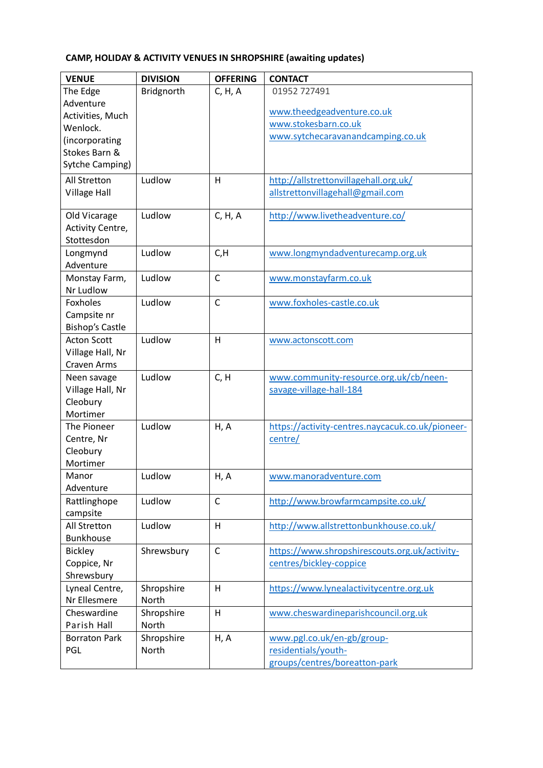## **CAMP, HOLIDAY & ACTIVITY VENUES IN SHROPSHIRE (awaiting updates)**

| <b>VENUE</b>             | <b>DIVISION</b> | <b>OFFERING</b> | <b>CONTACT</b>                                   |
|--------------------------|-----------------|-----------------|--------------------------------------------------|
| The Edge                 | Bridgnorth      | C, H, A         | 01952 727491                                     |
| Adventure                |                 |                 |                                                  |
| Activities, Much         |                 |                 | www.theedgeadventure.co.uk                       |
| Wenlock.                 |                 |                 | www.stokesbarn.co.uk                             |
| (incorporating           |                 |                 | www.sytchecaravanandcamping.co.uk                |
| Stokes Barn &            |                 |                 |                                                  |
| <b>Sytche Camping)</b>   |                 |                 |                                                  |
| All Stretton             | Ludlow          | H               | http://allstrettonvillagehall.org.uk/            |
| Village Hall             |                 |                 | allstrettonvillagehall@gmail.com                 |
|                          |                 |                 |                                                  |
| Old Vicarage             | Ludlow          | C, H, A         | http://www.livetheadventure.co/                  |
| Activity Centre,         |                 |                 |                                                  |
| Stottesdon               |                 |                 |                                                  |
| Longmynd                 | Ludlow          | C, H            | www.longmyndadventurecamp.org.uk                 |
| Adventure                |                 |                 |                                                  |
| Monstay Farm,            | Ludlow          | $\mathsf{C}$    | www.monstayfarm.co.uk                            |
| Nr Ludlow                |                 |                 |                                                  |
| Foxholes                 | Ludlow          | $\mathsf{C}$    | www.foxholes-castle.co.uk                        |
| Campsite nr              |                 |                 |                                                  |
| <b>Bishop's Castle</b>   |                 |                 |                                                  |
| <b>Acton Scott</b>       | Ludlow          | H               | www.actonscott.com                               |
| Village Hall, Nr         |                 |                 |                                                  |
| <b>Craven Arms</b>       |                 |                 |                                                  |
| Neen savage              | Ludlow          | C, H            | www.community-resource.org.uk/cb/neen-           |
| Village Hall, Nr         |                 |                 | savage-village-hall-184                          |
| Cleobury                 |                 |                 |                                                  |
| Mortimer                 |                 |                 |                                                  |
| The Pioneer              | Ludlow          | H, A            | https://activity-centres.naycacuk.co.uk/pioneer- |
| Centre, Nr               |                 |                 | centre/                                          |
| Cleobury                 |                 |                 |                                                  |
| Mortimer                 |                 |                 |                                                  |
| Manor<br>Adventure       | Ludlow          | H, A            | www.manoradventure.com                           |
|                          |                 | $\mathsf C$     |                                                  |
| Rattlinghope<br>campsite | Ludlow          |                 | http://www.browfarmcampsite.co.uk/               |
| All Stretton             | Ludlow          | H               | http://www.allstrettonbunkhouse.co.uk/           |
| <b>Bunkhouse</b>         |                 |                 |                                                  |
| <b>Bickley</b>           | Shrewsbury      | $\mathsf{C}$    | https://www.shropshirescouts.org.uk/activity-    |
| Coppice, Nr              |                 |                 | centres/bickley-coppice                          |
| Shrewsbury               |                 |                 |                                                  |
| Lyneal Centre,           | Shropshire      | H               | https://www.lynealactivitycentre.org.uk          |
| Nr Ellesmere             | North           |                 |                                                  |
| Cheswardine              | Shropshire      | H               | www.cheswardineparishcouncil.org.uk              |
| Parish Hall              | North           |                 |                                                  |
| <b>Borraton Park</b>     | Shropshire      | H, A            | www.pgl.co.uk/en-gb/group-                       |
| PGL                      | North           |                 | residentials/youth-                              |
|                          |                 |                 | groups/centres/boreatton-park                    |
|                          |                 |                 |                                                  |